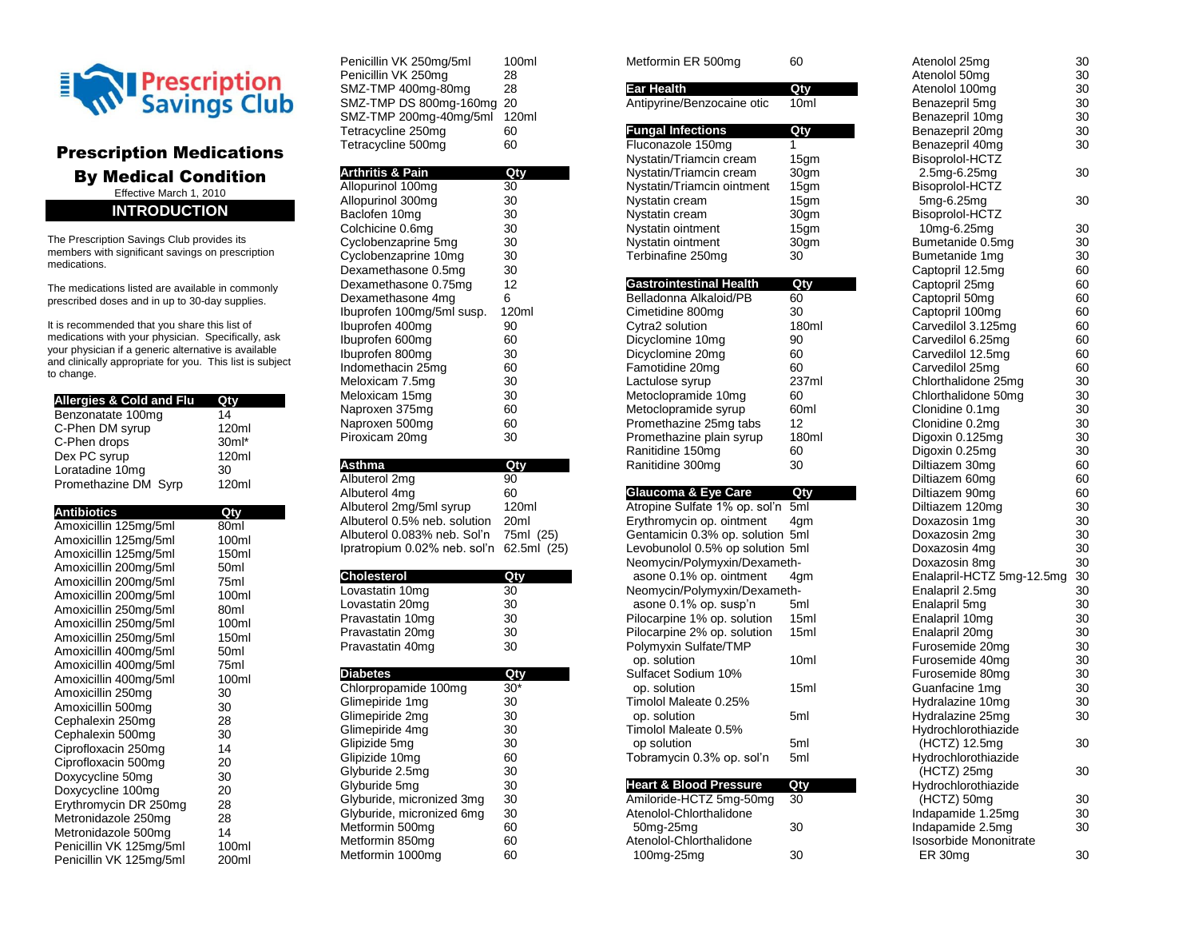

## Prescription Medications By Medical Condition Effective March 1, 2010 **INTRODUCTION**

The Prescription Savings Club provides its members with significant savings on prescription medications.

The medications listed are available in commonly prescribed doses and in up to 30-day supplies.

It is recommended that you share this list of medications with your physician. Specifically, ask your physician if a generic alternative is available and clinically appropriate for you. This list is subject to change.

| <b>Allergies &amp; Cold and Flu</b> |       |
|-------------------------------------|-------|
| Benzonatate 100mg                   | 14    |
| C-Phen DM syrup                     | 120ml |
| C-Phen drops                        | 30ml* |
| Dex PC syrup                        | 120ml |
| Loratadine 10mg                     | 30    |
| Promethazine DM Syrp                | 120ml |

| <b>Antibiotics</b>      | Qtv              |
|-------------------------|------------------|
| Amoxicillin 125mg/5ml   | 80ml             |
| Amoxicillin 125mg/5ml   | 100ml            |
| Amoxicillin 125mg/5ml   | 150ml            |
| Amoxicillin 200mg/5ml   | 50 <sub>ml</sub> |
| Amoxicillin 200mg/5ml   | 75ml             |
| Amoxicillin 200mg/5ml   | 100ml            |
| Amoxicillin 250mg/5ml   | 80 <sub>ml</sub> |
| Amoxicillin 250mg/5ml   | 100ml            |
| Amoxicillin 250mg/5ml   | 150ml            |
| Amoxicillin 400mg/5ml   | 50 <sub>ml</sub> |
| Amoxicillin 400mg/5ml   | 75ml             |
| Amoxicillin 400mg/5ml   | 100ml            |
| Amoxicillin 250mg       | 30               |
| Amoxicillin 500mg       | 30               |
| Cephalexin 250mg        | 28               |
| Cephalexin 500mg        | 30               |
| Ciprofloxacin 250mg     | 14               |
| Ciprofloxacin 500mg     | 20               |
| Doxycycline 50mg        | 30               |
| Doxycycline 100mg       | 20               |
| Erythromycin DR 250mg   | 28               |
| Metronidazole 250mg     | 28               |
| Metronidazole 500mg     | 14               |
| Penicillin VK 125mg/5ml | 100ml            |
| Penicillin VK 125mg/5ml | 200ml            |

| Penicillin VK 250mg/5ml | 100ml |
|-------------------------|-------|
|                         |       |
| Penicillin VK 250mg     | 28    |
| SMZ-TMP 400mg-80mg      | 28    |
| SMZ-TMP DS 800mg-160mg  | 20    |
| SMZ-TMP 200mg-40mg/5ml  | 120ml |
| Tetracycline 250mg      | 60    |
| Tetracycline 500mg      | 60    |

| <b>Arthritis &amp; Pain</b> | Qtv   |
|-----------------------------|-------|
| Allopurinol 100mg           | 30    |
| Allopurinol 300mg           | 30    |
| Baclofen 10mg               | 30    |
| Colchicine 0.6mg            | 30    |
| Cyclobenzaprine 5mg         | 30    |
| Cyclobenzaprine 10mg        | 30    |
| Dexamethasone 0.5mg         | 30    |
| Dexamethasone 0.75mg        | 12    |
| Dexamethasone 4mg           | 6     |
| Ibuprofen 100mg/5ml susp.   | 120ml |
| Ibuprofen 400mg             | 90    |
| Ibuprofen 600mg             | 60    |
| Ibuprofen 800mg             | 30    |
|                             |       |
| Indomethacin 25mg           | 60    |
| Meloxicam 7.5mg             | 30    |
| Meloxicam 15mg              | 30    |
| Naproxen 375mg              | 60    |
| Naproxen 500mg              | 60    |

| Asthma                              | Qty              |
|-------------------------------------|------------------|
| Albuterol 2mg                       | 90               |
| Albuterol 4mg                       | 60               |
| Albuterol 2mg/5ml syrup             | 120ml            |
| Albuterol 0.5% neb. solution        | 20 <sub>ml</sub> |
| Albuterol 0.083% neb. Sol'n         | 75ml (25)        |
| Ipratropium 0.02% neb. sol'n        | 62.5ml (25)      |
|                                     |                  |
| <b>Cholesterol</b>                  | Qty              |
| Lovastatin 10mg                     | 30               |
| Lovastatin 20mg                     | 30               |
| Pravastatin 10mg                    | 30               |
| Pravastatin 20mg                    | 30               |
| Pravastatin 40mg                    | 30               |
|                                     |                  |
|                                     |                  |
| <b>Diabetes</b>                     | Qty              |
| Chlorpropamide 100mg                | $30*$            |
| Glimepiride 1mg                     | 30               |
| Glimepiride 2mg                     | 30               |
| Glimepiride 4mg                     | 30               |
| Glipizide 5mg                       | 30               |
| Glipizide 10mg                      | 60               |
| Glyburide 2.5mg                     | 30               |
| Glyburide 5mg                       | 30               |
| Glyburide, micronized 3mg           | 30               |
| Glyburide, micronized 6mg           | 30               |
| Metformin 500mg                     | 60               |
| Metformin 850mg<br>Metformin 1000mg | 60<br>60         |

| Metformin ER 500mg                                               | 60           |
|------------------------------------------------------------------|--------------|
| <b>Ear Health</b>                                                | Qty          |
| Antipyrine/Benzocaine otic                                       | 10ml         |
|                                                                  |              |
| <b>Fungal Infections</b>                                         | Qty          |
| Fluconazole 150mg                                                | 1            |
| Nystatin/Triamcin cream                                          | 15gm         |
| Nystatin/Triamcin cream                                          | 30gm         |
| Nystatin/Triamcin ointment                                       | 15gm         |
| Nystatin cream                                                   | 15gm         |
| Nystatin cream<br>Nystatin ointment                              | 30gm         |
| Nystatin ointment                                                | 15gm<br>30gm |
| Terbinafine 250mg                                                | 30           |
|                                                                  |              |
| <b>Gastrointestinal Health</b>                                   | Qty          |
| Belladonna Alkaloid/PB                                           | 60           |
| Cimetidine 800mg                                                 | 30           |
| Cytra2 solution                                                  | 180ml        |
| Dicyclomine 10mg                                                 | 90           |
| Dicyclomine 20mg<br>Famotidine 20mg                              | 60<br>60     |
| Lactulose syrup                                                  | 237ml        |
| Metoclopramide 10mg                                              | 60           |
| Metoclopramide syrup                                             | 60ml         |
| Promethazine 25mg tabs                                           | 12           |
| Promethazine plain syrup                                         | 180ml        |
|                                                                  |              |
| Ranitidine 150mg                                                 | 60           |
| Ranitidine 300mg                                                 | 30           |
|                                                                  |              |
| Glaucoma & Eye Care                                              | Qty          |
| Atropine Sulfate 1% op. sol'n                                    | 5ml          |
| Erythromycin op. ointment                                        | 4gm<br>5ml   |
| Gentamicin 0.3% op. solution<br>Levobunolol 0.5% op solution 5ml |              |
| Neomycin/Polymyxin/Dexameth-                                     |              |
| asone 0.1% op. ointment                                          | 4gm          |
| Neomycin/Polymyxin/Dexameth-                                     |              |
| asone 0.1% op. susp'n                                            | 5ml          |
| Pilocarpine 1% op. solution                                      | 15ml         |
| Pilocarpine 2% op. solution                                      | 15ml         |
| Polymyxin Sulfate/TMP                                            | 10ml         |
| op. solution<br>Sulfacet Sodium 10%                              |              |
| op. solution                                                     | 15ml         |
| Timolol Maleate 0.25%                                            |              |
| op. solution                                                     | 5ml          |
| Timolol Maleate 0.5%                                             |              |
| op solution                                                      | 5ml          |
| Tobramycin 0.3% op. sol'n                                        | 5ml          |
|                                                                  |              |
| <b>Heart &amp; Blood Pressure</b><br>Amiloride-HCTZ 5mg-50mg     | Qty<br>30    |
| Atenolol-Chlorthalidone<br>50mg-25mg                             |              |

Atenolol-Chlorthalidone

100mg-25mg 30

| Atenolol 25mg                 | 30 |
|-------------------------------|----|
| Atenolol 50mg                 | 30 |
| Atenolol 100mg                | 30 |
| Benazepril 5mg                | 30 |
| Benazepril 10mg               | 30 |
| Benazepril 20mg               | 30 |
| Benazepril 40mg               | 30 |
| Bisoprolol-HCTZ               |    |
| 2.5mg-6.25mg                  | 30 |
| Bisoprolol-HCTZ               |    |
| 5mg-6.25mg                    | 30 |
| Bisoprolol-HCTZ               |    |
| 10mg-6.25mg                   | 30 |
| Bumetanide 0.5mg              | 30 |
| Bumetanide 1mg                | 30 |
| Captopril 12.5mg              | 60 |
| Captopril 25mg                | 60 |
| Captopril 50mg                | 60 |
| Captopril 100mg               | 60 |
| Carvedilol 3.125mg            | 60 |
| Carvedilol 6.25mg             | 60 |
| Carvedilol 12.5mg             | 60 |
| Carvedilol 25mg               | 60 |
| Chlorthalidone 25mg           | 30 |
| Chlorthalidone 50mg           | 30 |
| Clonidine 0.1mg               | 30 |
| Clonidine 0.2mg               | 30 |
| Digoxin 0.125mg               | 30 |
| Digoxin 0.25mg                | 30 |
| Diltiazem 30mg                | 60 |
| Diltiazem 60mg                | 60 |
| Diltiazem 90mg                | 60 |
| Diltiazem 120mg               | 30 |
| Doxazosin 1mg                 | 30 |
| Doxazosin 2mg                 | 30 |
| Doxazosin 4mg                 | 30 |
| Doxazosin 8mg                 | 30 |
| Enalapril-HCTZ 5mg-12.5mg     | 30 |
| Enalapril 2.5mg               | 30 |
| Enalapril 5mg                 | 30 |
| Enalapril 10mg                | 30 |
| Enalapril 20mg                | 30 |
| Furosemide 20mg               | 30 |
| Furosemide 40mg               | 30 |
| Furosemide 80mg               | 30 |
| Guanfacine 1mg                | 30 |
| Hydralazine 10mg              | 30 |
| Hydralazine 25mg              | 30 |
| Hydrochlorothiazide           |    |
| (HCTZ) 12.5mg                 | 30 |
| Hydrochlorothiazide           |    |
| (HCTZ) 25mg                   | 30 |
| Hydrochlorothiazide           |    |
| (HCTZ) 50mg                   | 30 |
| Indapamide 1.25mg             | 30 |
| Indapamide 2.5mg              | 30 |
| <b>Isosorbide Mononitrate</b> |    |
| ER 30mg                       | 30 |